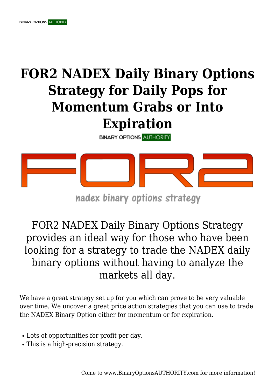## **FOR2 NADEX Daily Binary Options Strategy for Daily Pops for Momentum Grabs or Into**

## **Expiration**

**BINARY OPTIONS AUTHORITY** 

![](_page_0_Picture_4.jpeg)

## nadex binary options strategy

FOR2 NADEX Daily Binary Options Strategy provides an ideal way for those who have been looking for a strategy to trade the NADEX daily binary options without having to analyze the markets all day.

We have a great strategy set up for you which can prove to be very valuable over time. We uncover a great price action strategies that you can use to trade the NADEX Binary Option either for momentum or for expiration.

- Lots of opportunities for profit per day.
- This is a high-precision strategy.